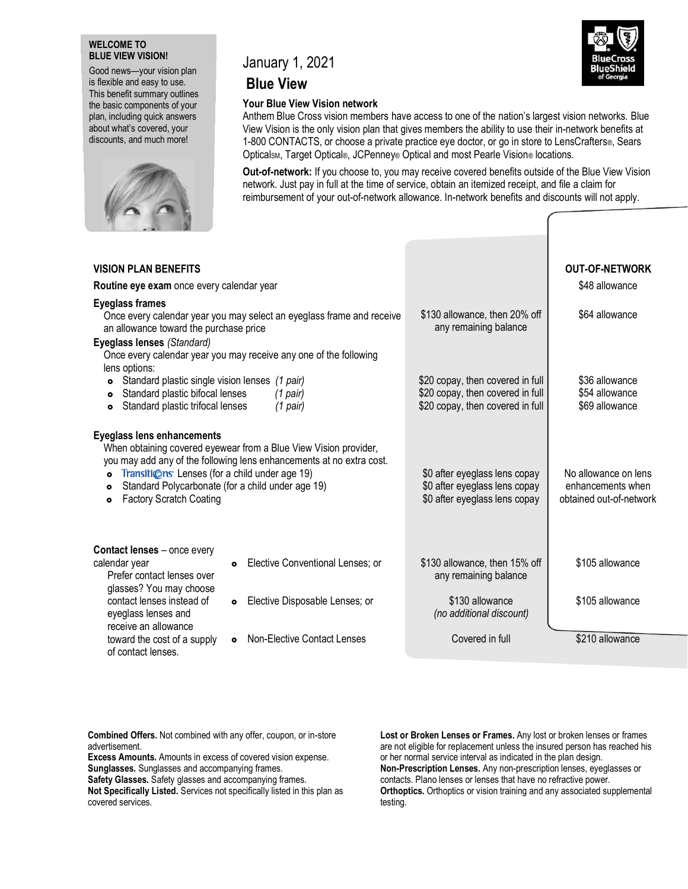## **WELCOME TO BLUE VIEW VISION!**

Good news—your vision plan is flexible and easy to use. This benefit summary outlines the basic components of your plan, including quick answers about what's covered, your discounts, and much more!



# January 1, 2021

# **Blue View**

Your Blue View Vision network<br>Anthem Blue Cross vision members have access to one of the nation's largest vision networks. Blue View Vision is the only vision plan that gives members the ability to use their in-network benefits at 1-800 CONTACTS, or choose a private practice eye doctor, or go in store to LensCrafters®, Sears Opticalsm, Target Optical®, JCPenney® Optical and most Pearle Vision® locations.

**Out-of-network:** If you choose to, you may receive covered benefits outside of the Blue View Vision network. Just pay in full at the time of service, obtain an itemized receipt, and file a claim for reimbursement of your out-of-network allowance. In-network benefits and discounts will not apply.

| <b>VISION PLAN BENEFITS</b>                                                                                                                                                                                                                                                                                                                                  |                                                                                                          | <b>OUT-OF-NETWORK</b>                                                |
|--------------------------------------------------------------------------------------------------------------------------------------------------------------------------------------------------------------------------------------------------------------------------------------------------------------------------------------------------------------|----------------------------------------------------------------------------------------------------------|----------------------------------------------------------------------|
| Routine eye exam once every calendar year                                                                                                                                                                                                                                                                                                                    |                                                                                                          | \$48 allowance                                                       |
| <b>Eyeglass frames</b><br>Once every calendar year you may select an eyeglass frame and receive<br>an allowance toward the purchase price<br>Eyeglass lenses (Standard)<br>Once every calendar year you may receive any one of the following<br>lens options:                                                                                                | \$130 allowance, then 20% off<br>any remaining balance                                                   | \$64 allowance                                                       |
| • Standard plastic single vision lenses (1 pair)<br>Standard plastic bifocal lenses<br>$(1$ pair)<br>$\bullet$<br>Standard plastic trifocal lenses<br>(1 pair)<br>$\bullet$                                                                                                                                                                                  | \$20 copay, then covered in full<br>\$20 copay, then covered in full<br>\$20 copay, then covered in full | \$36 allowance<br>\$54 allowance<br>\$69 allowance                   |
| <b>Eyeglass lens enhancements</b><br>When obtaining covered eyewear from a Blue View Vision provider,<br>you may add any of the following lens enhancements at no extra cost.<br>Transitions Lenses (for a child under age 19)<br>$\bullet$<br>Standard Polycarbonate (for a child under age 19)<br>$\bullet$<br><b>Factory Scratch Coating</b><br>$\bullet$ | \$0 after eyeglass lens copay<br>\$0 after eyeglass lens copay<br>\$0 after eyeglass lens copay          | No allowance on lens<br>enhancements when<br>obtained out-of-network |
| Contact lenses - once every<br>calendar year<br>Elective Conventional Lenses; or<br>$\bullet$<br>Prefer contact lenses over<br>glasses? You may choose                                                                                                                                                                                                       | \$130 allowance, then 15% off<br>any remaining balance                                                   | \$105 allowance                                                      |
| contact lenses instead of<br>Elective Disposable Lenses; or<br>$\bullet$<br>eyeglass lenses and<br>receive an allowance                                                                                                                                                                                                                                      | \$130 allowance<br>(no additional discount)                                                              | \$105 allowance                                                      |
| <b>Non-Elective Contact Lenses</b><br>toward the cost of a supply<br>$\bullet$<br>of contact lenses.                                                                                                                                                                                                                                                         | Covered in full                                                                                          | \$210 allowance                                                      |

**Combined Offers.** Not combined with any offer, coupon, or in-store advertisement.

**Excess Amounts.** Amounts in excess of covered vision expense. **Sunglasses.** Sunglasses and accompanying frames.

**Safety Glasses.** Safety glasses and accompanying frames.

**Not Specifically Listed.** Services not specifically listed in this plan as covered services.

**Lost or Broken Lenses or Frames.** Any lost or broken lenses or frames are not eligible for replacement unless the insured person has reached his or her normal service interval as indicated in the plan design. **Non-Prescription Lenses.** Any non-prescription lenses, eyeglasses or contacts. Plano lenses or lenses that have no refractive power. **Orthoptics.** Orthoptics or vision training and any associated supplemental testing.